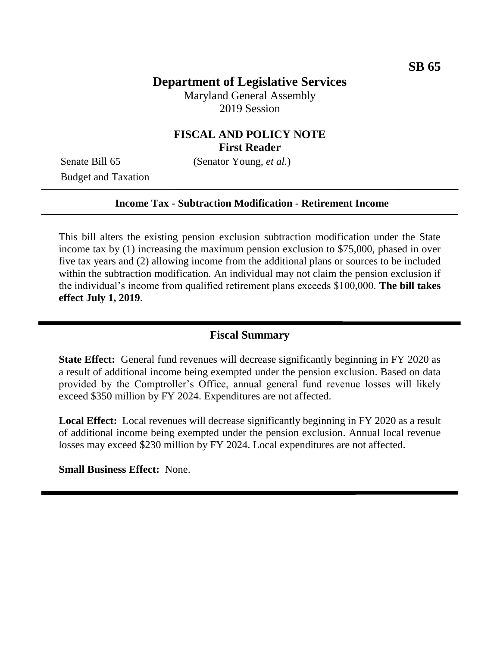# **Department of Legislative Services**

Maryland General Assembly 2019 Session

## **FISCAL AND POLICY NOTE First Reader**

Budget and Taxation

Senate Bill 65 (Senator Young, *et al.*)

#### **Income Tax - Subtraction Modification - Retirement Income**

This bill alters the existing pension exclusion subtraction modification under the State income tax by (1) increasing the maximum pension exclusion to \$75,000, phased in over five tax years and (2) allowing income from the additional plans or sources to be included within the subtraction modification. An individual may not claim the pension exclusion if the individual's income from qualified retirement plans exceeds \$100,000. **The bill takes effect July 1, 2019**.

#### **Fiscal Summary**

**State Effect:** General fund revenues will decrease significantly beginning in FY 2020 as a result of additional income being exempted under the pension exclusion. Based on data provided by the Comptroller's Office, annual general fund revenue losses will likely exceed \$350 million by FY 2024. Expenditures are not affected.

**Local Effect:** Local revenues will decrease significantly beginning in FY 2020 as a result of additional income being exempted under the pension exclusion. Annual local revenue losses may exceed \$230 million by FY 2024. Local expenditures are not affected.

**Small Business Effect:** None.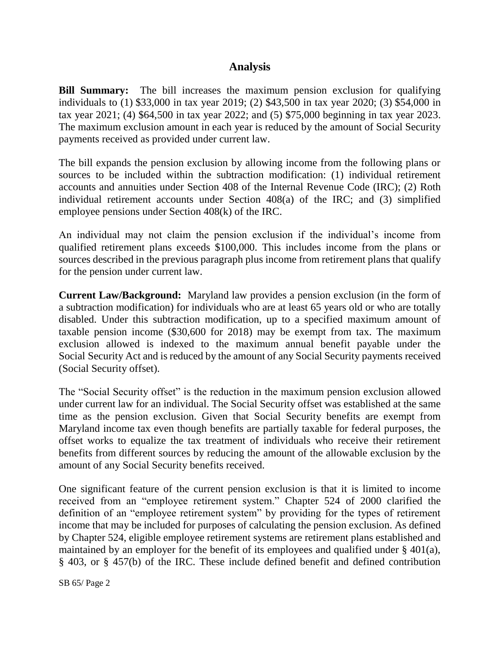#### **Analysis**

**Bill Summary:** The bill increases the maximum pension exclusion for qualifying individuals to (1) \$33,000 in tax year 2019; (2) \$43,500 in tax year 2020; (3) \$54,000 in tax year 2021; (4) \$64,500 in tax year 2022; and (5) \$75,000 beginning in tax year 2023. The maximum exclusion amount in each year is reduced by the amount of Social Security payments received as provided under current law.

The bill expands the pension exclusion by allowing income from the following plans or sources to be included within the subtraction modification: (1) individual retirement accounts and annuities under Section 408 of the Internal Revenue Code (IRC); (2) Roth individual retirement accounts under Section 408(a) of the IRC; and (3) simplified employee pensions under Section 408(k) of the IRC.

An individual may not claim the pension exclusion if the individual's income from qualified retirement plans exceeds \$100,000. This includes income from the plans or sources described in the previous paragraph plus income from retirement plans that qualify for the pension under current law.

**Current Law/Background:** Maryland law provides a pension exclusion (in the form of a subtraction modification) for individuals who are at least 65 years old or who are totally disabled. Under this subtraction modification, up to a specified maximum amount of taxable pension income (\$30,600 for 2018) may be exempt from tax. The maximum exclusion allowed is indexed to the maximum annual benefit payable under the Social Security Act and is reduced by the amount of any Social Security payments received (Social Security offset).

The "Social Security offset" is the reduction in the maximum pension exclusion allowed under current law for an individual. The Social Security offset was established at the same time as the pension exclusion. Given that Social Security benefits are exempt from Maryland income tax even though benefits are partially taxable for federal purposes, the offset works to equalize the tax treatment of individuals who receive their retirement benefits from different sources by reducing the amount of the allowable exclusion by the amount of any Social Security benefits received.

One significant feature of the current pension exclusion is that it is limited to income received from an "employee retirement system." Chapter 524 of 2000 clarified the definition of an "employee retirement system" by providing for the types of retirement income that may be included for purposes of calculating the pension exclusion. As defined by Chapter 524, eligible employee retirement systems are retirement plans established and maintained by an employer for the benefit of its employees and qualified under § 401(a), § 403, or § 457(b) of the IRC. These include defined benefit and defined contribution

SB 65/ Page 2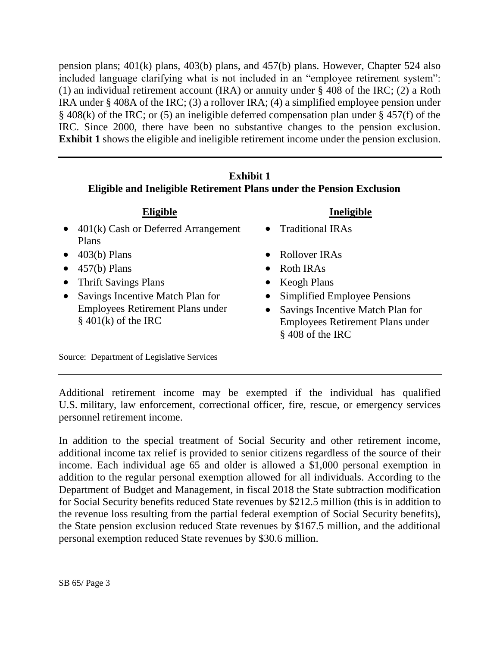pension plans; 401(k) plans, 403(b) plans, and 457(b) plans. However, Chapter 524 also included language clarifying what is not included in an "employee retirement system": (1) an individual retirement account (IRA) or annuity under § 408 of the IRC; (2) a Roth IRA under § 408A of the IRC; (3) a rollover IRA; (4) a simplified employee pension under § 408(k) of the IRC; or (5) an ineligible deferred compensation plan under § 457(f) of the IRC. Since 2000, there have been no substantive changes to the pension exclusion. **Exhibit 1** shows the eligible and ineligible retirement income under the pension exclusion.

#### **Exhibit 1 Eligible and Ineligible Retirement Plans under the Pension Exclusion**

| Eligible                                      | Ineligible            |
|-----------------------------------------------|-----------------------|
| $\bullet$ 401(k) Cash or Deferred Arrangement | • Traditional IRAs    |
| Plans                                         |                       |
| $\bullet$ 403(b) Plans                        | • Rollover IRAs       |
| $\bullet$ 457(b) Plans                        | $\bullet$ Roth IRAs   |
| • Thrift Savings Plans                        | $\bullet$ Keogh Plans |
|                                               |                       |

• Savings Incentive Match Plan for Employees Retirement Plans under  $§$  401(k) of the IRC

- Simplified Employee Pensions
- Savings Incentive Match Plan for Employees Retirement Plans under § 408 of the IRC

Source: Department of Legislative Services

Additional retirement income may be exempted if the individual has qualified U.S. military, law enforcement, correctional officer, fire, rescue, or emergency services personnel retirement income.

In addition to the special treatment of Social Security and other retirement income, additional income tax relief is provided to senior citizens regardless of the source of their income. Each individual age 65 and older is allowed a \$1,000 personal exemption in addition to the regular personal exemption allowed for all individuals. According to the Department of Budget and Management, in fiscal 2018 the State subtraction modification for Social Security benefits reduced State revenues by \$212.5 million (this is in addition to the revenue loss resulting from the partial federal exemption of Social Security benefits), the State pension exclusion reduced State revenues by \$167.5 million, and the additional personal exemption reduced State revenues by \$30.6 million.